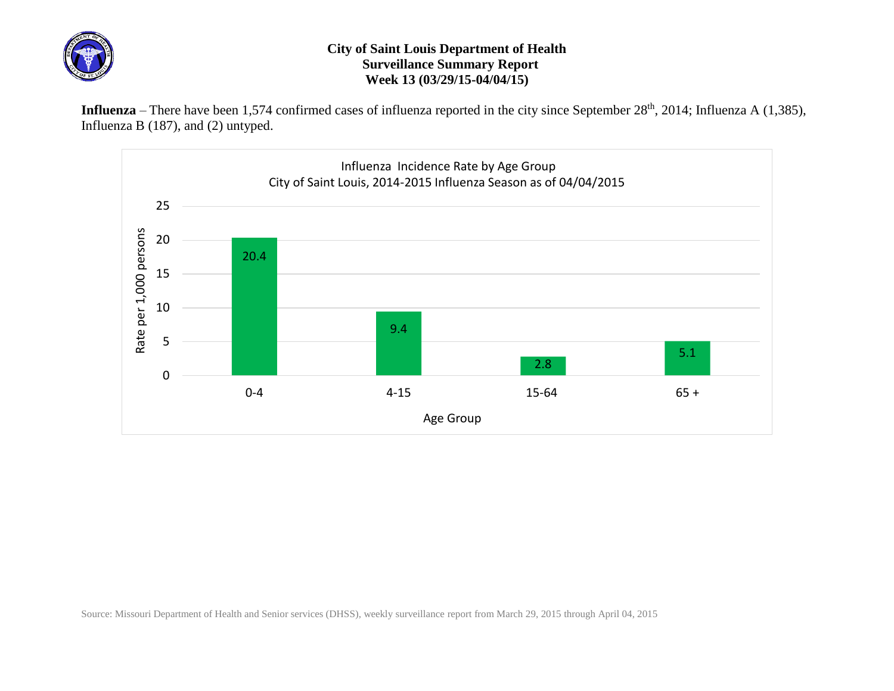

## **City of Saint Louis Department of Health Surveillance Summary Report Week 13 (03/29/15-04/04/15)**

Influenza – There have been 1,574 confirmed cases of influenza reported in the city since September 28<sup>th</sup>, 2014; Influenza A (1,385), Influenza B (187), and (2) untyped.